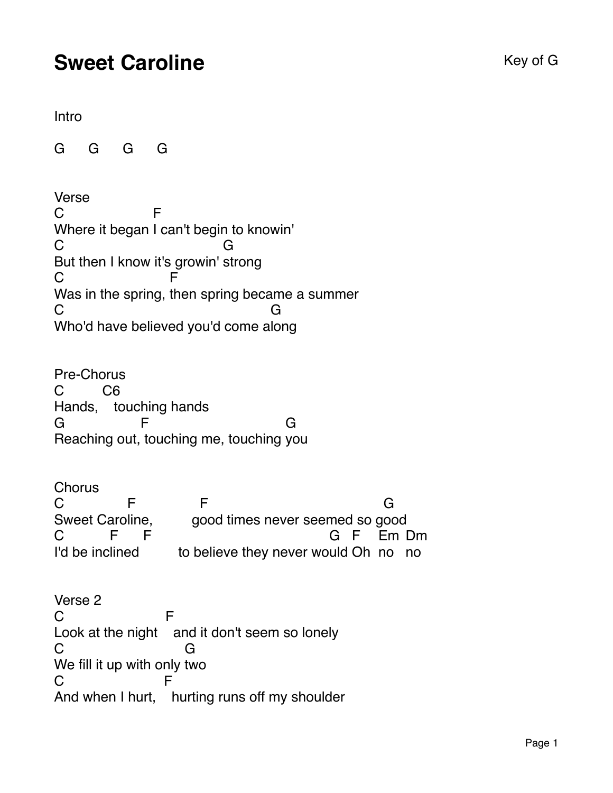## **Sweet Caroline** Key of G

Intro

G G G G

Verse C Where it began I can't begin to knowin' F C But then I know it's growin' strong G C Was in the spring, then spring became a summer F C Who'd have believed you'd come a long G

Pre-Chorus C Hands, touching hands C6 G Reaching out, touching me, touching you F G

**Chorus** C Sweet Caro line, g F F ood times never seemed so g ood G  $\mathcal{C}$ I'd be inclined believe they never would Oh no no F F G F Em Dm

Verse 2 C Look at the night and it don't seem so lonely F C We fill it up with only two G C And when I hurt, hurting runs off my shoulderF